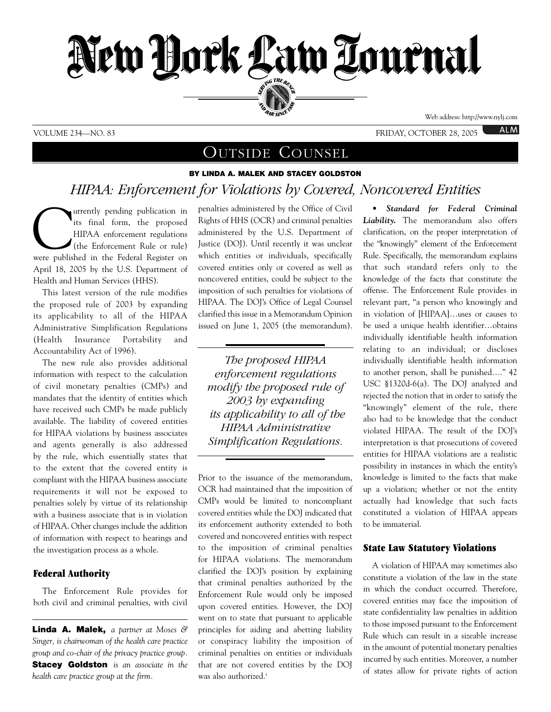

## VOLUME 234—NO. 83 FRIDAY, OCTOBER 28, 2005

ALM

# OUTSIDE COUNSEL

# **BY LINDA A. MALEK AND STACEY GOLDSTON** *HIPAA: Enforcement for Violations by Covered, Noncovered Entities*

Turrently pending publication in<br>
its final form, the proposed<br>
HIPAA enforcement regulations<br>
(the Enforcement Rule or rule)<br>
were published in the Federal Register on its final form, the proposed HIPAA enforcement regulations (the Enforcement Rule or rule) April 18, 2005 by the U.S. Department of Health and Human Services (HHS).

This latest version of the rule modifies the proposed rule of 2003 by expanding its applicability to all of the HIPAA Administrative Simplification Regulations (Health Insurance Portability and Accountability Act of 1996).

The new rule also provides additional information with respect to the calculation of civil monetary penalties (CMPs) and mandates that the identity of entities which have received such CMPs be made publicly available. The liability of covered entities for HIPAA violations by business associates and agents generally is also addressed by the rule, which essentially states that to the extent that the covered entity is compliant with the HIPAA business associate requirements it will not be exposed to penalties solely by virtue of its relationship with a business associate that is in violation of HIPAA. Other changes include the addition of information with respect to hearings and the investigation process as a whole.

### **Federal Authority**

The Enforcement Rule provides for both civil and criminal penalties, with civil

**Linda A. Malek,** *a partner at Moses & Singer, is chairwoman of the health care practice group and co-chair of the privacy practice group.* **Stacey Goldston** *is an associate in the health care practice group at the firm.*

penalties administered by the Office of Civil Rights of HHS (OCR) and criminal penalties administered by the U.S. Department of Justice (DOJ). Until recently it was unclear which entities or individuals, specifically covered entities only or covered as well as noncovered entities, could be subject to the imposition of such penalties for violations of HIPAA. The DOJ's Office of Legal Counsel clarified this issue in a Memorandum Opinion issued on June 1, 2005 (the memorandum).

*The proposed HIPAA enforcement regulations modify the proposed rule of 2003 by expanding its applicability to all of the HIPAA Administrative Simplification Regulations.* 

*------------------------------------------------*

*------------------------------------------------*

Prior to the issuance of the memorandum, OCR had maintained that the imposition of CMPs would be limited to noncompliant covered entities while the DOJ indicated that its enforcement authority extended to both covered and noncovered entities with respect to the imposition of criminal penalties for HIPAA violations. The memorandum clarified the DOJ's position by explaining that criminal penalties authorized by the Enforcement Rule would only be imposed upon covered entities. However, the DOJ went on to state that pursuant to applicable principles for aiding and abetting liability or conspiracy liability the imposition of criminal penalties on entities or individuals that are not covered entities by the DOJ was also authorized.<sup>1</sup>

*• Standard for Federal Criminal Liability.* The memorandum also offers clarification, on the proper interpretation of the "knowingly" element of the Enforcement Rule. Specifically, the memorandum explains that such standard refers only to the knowledge of the facts that constitute the offense. The Enforcement Rule provides in relevant part, "a person who knowingly and in violation of [HIPAA]…uses or causes to be used a unique health identifier…obtains individually identifiable health information relating to an individual; or discloses individually identifiable health information to another person, shall be punished…." 42 USC §1320d-6(a). The DOJ analyzed and rejected the notion that in order to satisfy the "knowingly" element of the rule, there also had to be knowledge that the conduct violated HIPAA. The result of the DOJ's interpretation is that prosecutions of covered entities for HIPAA violations are a realistic possibility in instances in which the entity's knowledge is limited to the facts that make up a violation; whether or not the entity actually had knowledge that such facts constituted a violation of HIPAA appears to be immaterial.

### **State Law Statutory Violations**

A violation of HIPAA may sometimes also constitute a violation of the law in the state in which the conduct occurred. Therefore, covered entities may face the imposition of state confidentiality law penalties in addition to those imposed pursuant to the Enforcement Rule which can result in a sizeable increase in the amount of potential monetary penalties incurred by such entities. Moreover, a number of states allow for private rights of action